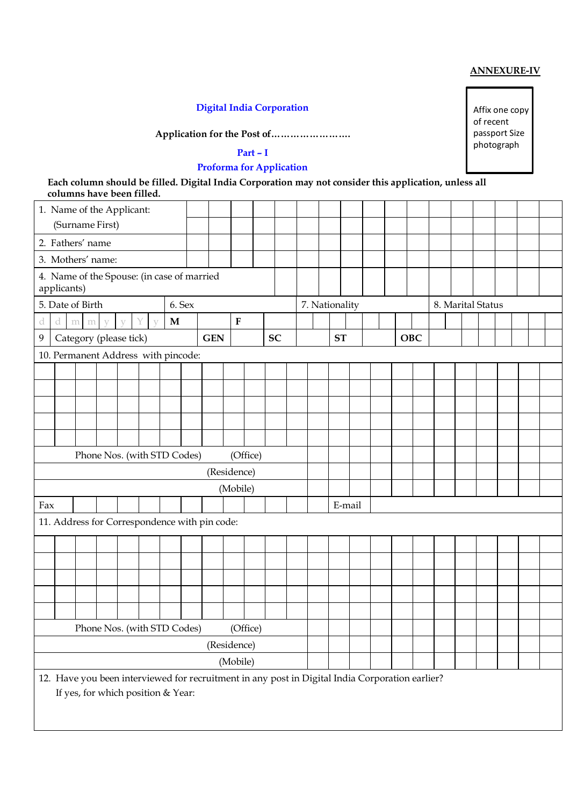### **ANNEXURE-IV**

**Digital India Corporation**

**Application for the Post of…………………….**

# **Part – I**

# **Proforma for Application**

**Each column should be filled. Digital India Corporation may not consider this application, unless all columns have been filled.**

| 1. Name of the Applicant:                                 |                  |                                     |              |              |                   |                             |        |                                               |             |  |                                                                                                 |  |                |        |     |  |                   |  |  |  |  |  |  |  |
|-----------------------------------------------------------|------------------|-------------------------------------|--------------|--------------|-------------------|-----------------------------|--------|-----------------------------------------------|-------------|--|-------------------------------------------------------------------------------------------------|--|----------------|--------|-----|--|-------------------|--|--|--|--|--|--|--|
| (Surname First)                                           |                  |                                     |              |              |                   |                             |        |                                               |             |  |                                                                                                 |  |                |        |     |  |                   |  |  |  |  |  |  |  |
|                                                           | 2. Fathers' name |                                     |              |              |                   |                             |        |                                               |             |  |                                                                                                 |  |                |        |     |  |                   |  |  |  |  |  |  |  |
|                                                           |                  | 3. Mothers' name:                   |              |              |                   |                             |        |                                               |             |  |                                                                                                 |  |                |        |     |  |                   |  |  |  |  |  |  |  |
| 4. Name of the Spouse: (in case of married<br>applicants) |                  |                                     |              |              |                   |                             |        |                                               |             |  |                                                                                                 |  |                |        |     |  |                   |  |  |  |  |  |  |  |
|                                                           |                  | 5. Date of Birth                    |              |              |                   |                             | 6. Sex |                                               |             |  |                                                                                                 |  | 7. Nationality |        |     |  | 8. Marital Status |  |  |  |  |  |  |  |
| a                                                         | d                | m<br>m                              | $\mathbf{V}$ | $\mathbf{V}$ | Y<br>$\mathbf{V}$ | M                           |        |                                               | ${\bf F}$   |  |                                                                                                 |  |                |        |     |  |                   |  |  |  |  |  |  |  |
| 9                                                         |                  | Category (please tick)              |              |              |                   |                             |        | <b>GEN</b>                                    |             |  | <b>SC</b>                                                                                       |  | <b>ST</b>      |        | OBC |  |                   |  |  |  |  |  |  |  |
|                                                           |                  | 10. Permanent Address with pincode: |              |              |                   |                             |        |                                               |             |  |                                                                                                 |  |                |        |     |  |                   |  |  |  |  |  |  |  |
|                                                           |                  |                                     |              |              |                   |                             |        |                                               |             |  |                                                                                                 |  |                |        |     |  |                   |  |  |  |  |  |  |  |
|                                                           |                  |                                     |              |              |                   |                             |        |                                               |             |  |                                                                                                 |  |                |        |     |  |                   |  |  |  |  |  |  |  |
|                                                           |                  |                                     |              |              |                   |                             |        |                                               |             |  |                                                                                                 |  |                |        |     |  |                   |  |  |  |  |  |  |  |
|                                                           |                  |                                     |              |              |                   |                             |        |                                               |             |  |                                                                                                 |  |                |        |     |  |                   |  |  |  |  |  |  |  |
|                                                           |                  |                                     |              |              |                   |                             |        |                                               |             |  |                                                                                                 |  |                |        |     |  |                   |  |  |  |  |  |  |  |
|                                                           |                  | Phone Nos. (with STD Codes)         |              |              |                   |                             |        |                                               | (Office)    |  |                                                                                                 |  |                |        |     |  |                   |  |  |  |  |  |  |  |
|                                                           |                  |                                     |              |              |                   |                             |        |                                               | (Residence) |  |                                                                                                 |  |                |        |     |  |                   |  |  |  |  |  |  |  |
|                                                           |                  |                                     |              |              |                   |                             |        | (Mobile)                                      |             |  |                                                                                                 |  |                |        |     |  |                   |  |  |  |  |  |  |  |
| Fax                                                       |                  |                                     |              |              |                   |                             |        |                                               |             |  |                                                                                                 |  |                | E-mail |     |  |                   |  |  |  |  |  |  |  |
|                                                           |                  |                                     |              |              |                   |                             |        | 11. Address for Correspondence with pin code: |             |  |                                                                                                 |  |                |        |     |  |                   |  |  |  |  |  |  |  |
|                                                           |                  |                                     |              |              |                   |                             |        |                                               |             |  |                                                                                                 |  |                |        |     |  |                   |  |  |  |  |  |  |  |
|                                                           |                  |                                     |              |              |                   |                             |        |                                               |             |  |                                                                                                 |  |                |        |     |  |                   |  |  |  |  |  |  |  |
|                                                           |                  |                                     |              |              |                   |                             |        |                                               |             |  |                                                                                                 |  |                |        |     |  |                   |  |  |  |  |  |  |  |
|                                                           |                  |                                     |              |              |                   |                             |        |                                               |             |  |                                                                                                 |  |                |        |     |  |                   |  |  |  |  |  |  |  |
|                                                           |                  |                                     |              |              |                   |                             |        |                                               |             |  |                                                                                                 |  |                |        |     |  |                   |  |  |  |  |  |  |  |
|                                                           |                  |                                     |              |              |                   | Phone Nos. (with STD Codes) |        |                                               | (Office)    |  |                                                                                                 |  |                |        |     |  |                   |  |  |  |  |  |  |  |
|                                                           |                  |                                     |              |              |                   |                             |        |                                               | (Residence) |  |                                                                                                 |  |                |        |     |  |                   |  |  |  |  |  |  |  |
|                                                           |                  |                                     |              |              |                   |                             |        |                                               | (Mobile)    |  |                                                                                                 |  |                |        |     |  |                   |  |  |  |  |  |  |  |
|                                                           |                  | If yes, for which position & Year:  |              |              |                   |                             |        |                                               |             |  | 12. Have you been interviewed for recruitment in any post in Digital India Corporation earlier? |  |                |        |     |  |                   |  |  |  |  |  |  |  |

Affix one copy of recent passport Size photograph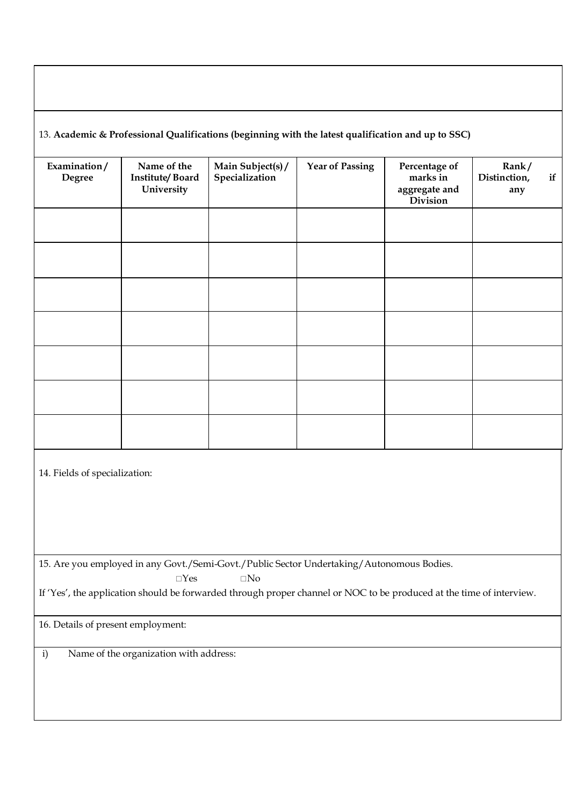## 13. **Academic & Professional Qualifications (beginning with the latest qualification and up to SSC)**

| Examination/<br><b>Degree</b> | Name of the<br><b>Institute/Board</b><br>University | Main Subject(s) /<br>Specialization | <b>Year of Passing</b> | Percentage of<br>marks in<br>aggregate and<br>Division | Rank/<br>Distinction,<br>if<br>any |
|-------------------------------|-----------------------------------------------------|-------------------------------------|------------------------|--------------------------------------------------------|------------------------------------|
|                               |                                                     |                                     |                        |                                                        |                                    |
|                               |                                                     |                                     |                        |                                                        |                                    |
|                               |                                                     |                                     |                        |                                                        |                                    |
|                               |                                                     |                                     |                        |                                                        |                                    |
|                               |                                                     |                                     |                        |                                                        |                                    |
|                               |                                                     |                                     |                        |                                                        |                                    |
|                               |                                                     |                                     |                        |                                                        |                                    |

14. Fields of specialization:

15. Are you employed in any Govt./Semi-Govt./Public Sector Undertaking/Autonomous Bodies.

 $\square$  Yes  $\square$  No

If 'Yes', the application should be forwarded through proper channel or NOC to be produced at the time of interview.

16. Details of present employment:

i) Name of the organization with address: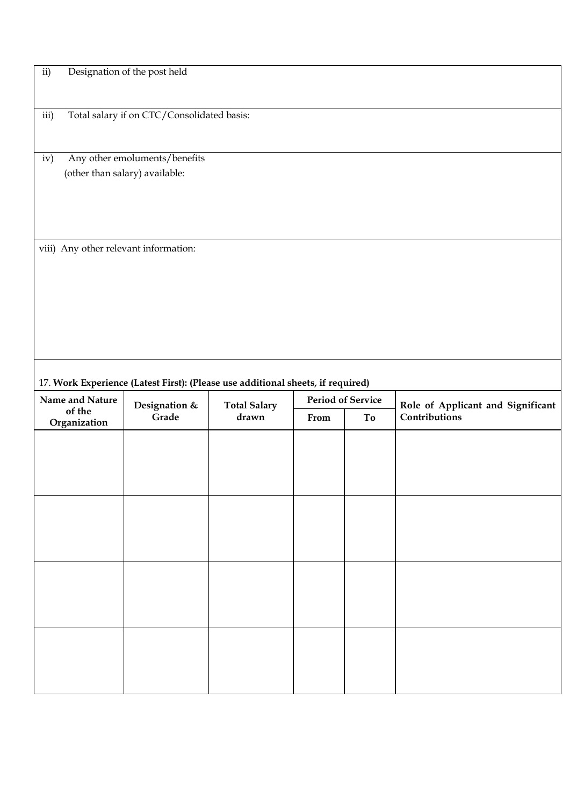| ii)                                                                             | Designation of the post held |                     |      |                          |                                   |  |  |  |  |  |
|---------------------------------------------------------------------------------|------------------------------|---------------------|------|--------------------------|-----------------------------------|--|--|--|--|--|
|                                                                                 |                              |                     |      |                          |                                   |  |  |  |  |  |
|                                                                                 |                              |                     |      |                          |                                   |  |  |  |  |  |
| Total salary if on CTC/Consolidated basis:<br>iii)                              |                              |                     |      |                          |                                   |  |  |  |  |  |
|                                                                                 |                              |                     |      |                          |                                   |  |  |  |  |  |
| Any other emoluments/benefits<br>iv)                                            |                              |                     |      |                          |                                   |  |  |  |  |  |
| (other than salary) available:                                                  |                              |                     |      |                          |                                   |  |  |  |  |  |
|                                                                                 |                              |                     |      |                          |                                   |  |  |  |  |  |
|                                                                                 |                              |                     |      |                          |                                   |  |  |  |  |  |
|                                                                                 |                              |                     |      |                          |                                   |  |  |  |  |  |
|                                                                                 |                              |                     |      |                          |                                   |  |  |  |  |  |
| viii) Any other relevant information:                                           |                              |                     |      |                          |                                   |  |  |  |  |  |
|                                                                                 |                              |                     |      |                          |                                   |  |  |  |  |  |
|                                                                                 |                              |                     |      |                          |                                   |  |  |  |  |  |
|                                                                                 |                              |                     |      |                          |                                   |  |  |  |  |  |
|                                                                                 |                              |                     |      |                          |                                   |  |  |  |  |  |
|                                                                                 |                              |                     |      |                          |                                   |  |  |  |  |  |
|                                                                                 |                              |                     |      |                          |                                   |  |  |  |  |  |
|                                                                                 |                              |                     |      |                          |                                   |  |  |  |  |  |
|                                                                                 |                              |                     |      |                          |                                   |  |  |  |  |  |
| 17. Work Experience (Latest First): (Please use additional sheets, if required) |                              |                     |      |                          |                                   |  |  |  |  |  |
| Name and Nature                                                                 | Designation &                | <b>Total Salary</b> |      | <b>Period of Service</b> | Role of Applicant and Significant |  |  |  |  |  |
| of the<br>Organization                                                          | Grade                        | drawn               | From | To                       | Contributions                     |  |  |  |  |  |
|                                                                                 |                              |                     |      |                          |                                   |  |  |  |  |  |
|                                                                                 |                              |                     |      |                          |                                   |  |  |  |  |  |
|                                                                                 |                              |                     |      |                          |                                   |  |  |  |  |  |
|                                                                                 |                              |                     |      |                          |                                   |  |  |  |  |  |
|                                                                                 |                              |                     |      |                          |                                   |  |  |  |  |  |
|                                                                                 |                              |                     |      |                          |                                   |  |  |  |  |  |
|                                                                                 |                              |                     |      |                          |                                   |  |  |  |  |  |
|                                                                                 |                              |                     |      |                          |                                   |  |  |  |  |  |
|                                                                                 |                              |                     |      |                          |                                   |  |  |  |  |  |
|                                                                                 |                              |                     |      |                          |                                   |  |  |  |  |  |
|                                                                                 |                              |                     |      |                          |                                   |  |  |  |  |  |
|                                                                                 |                              |                     |      |                          |                                   |  |  |  |  |  |
|                                                                                 |                              |                     |      |                          |                                   |  |  |  |  |  |
|                                                                                 |                              |                     |      |                          |                                   |  |  |  |  |  |
|                                                                                 |                              |                     |      |                          |                                   |  |  |  |  |  |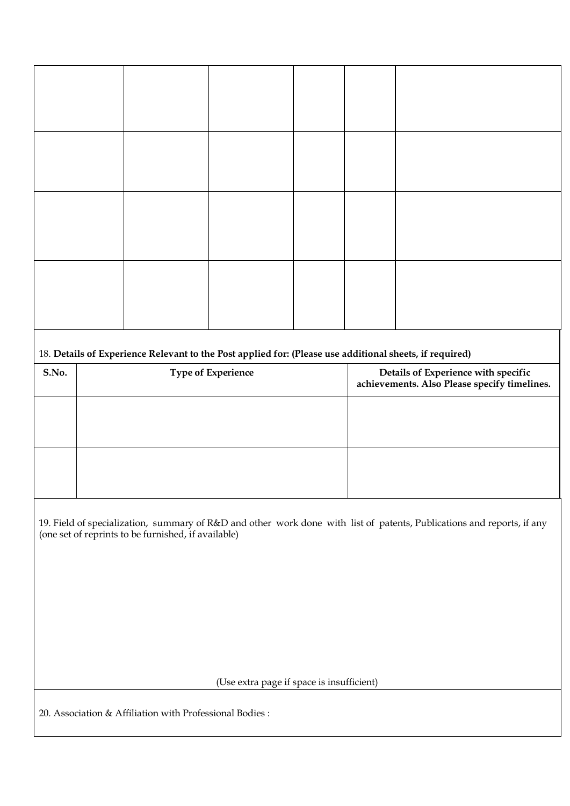| 18. Details of Experience Relevant to the Post applied for: (Please use additional sheets, if required)<br>S.No.<br>Details of Experience with specific<br>Type of Experience<br>achievements. Also Please specify timelines. |  |                                                         |                                           |  |  |  |  |  |  |  |
|-------------------------------------------------------------------------------------------------------------------------------------------------------------------------------------------------------------------------------|--|---------------------------------------------------------|-------------------------------------------|--|--|--|--|--|--|--|
|                                                                                                                                                                                                                               |  |                                                         |                                           |  |  |  |  |  |  |  |
|                                                                                                                                                                                                                               |  |                                                         |                                           |  |  |  |  |  |  |  |
| 19. Field of specialization, summary of R&D and other work done with list of patents, Publications and reports, if any<br>(one set of reprints to be furnished, if available)                                                 |  |                                                         |                                           |  |  |  |  |  |  |  |
|                                                                                                                                                                                                                               |  |                                                         |                                           |  |  |  |  |  |  |  |
|                                                                                                                                                                                                                               |  |                                                         |                                           |  |  |  |  |  |  |  |
|                                                                                                                                                                                                                               |  |                                                         | (Use extra page if space is insufficient) |  |  |  |  |  |  |  |
|                                                                                                                                                                                                                               |  | 20. Association & Affiliation with Professional Bodies: |                                           |  |  |  |  |  |  |  |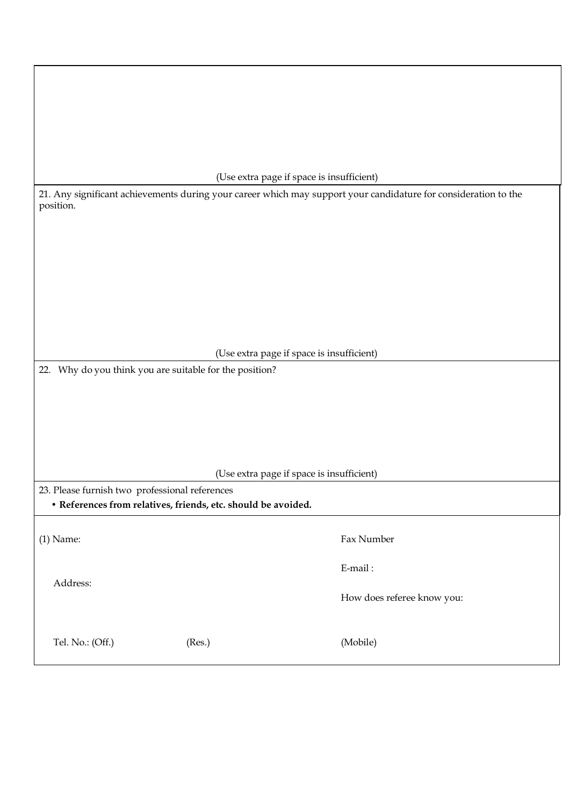|                                                                                                                              |        | (Use extra page if space is insufficient) |  |  |  |  |  |  |
|------------------------------------------------------------------------------------------------------------------------------|--------|-------------------------------------------|--|--|--|--|--|--|
| 21. Any significant achievements during your career which may support your candidature for consideration to the<br>position. |        |                                           |  |  |  |  |  |  |
|                                                                                                                              |        |                                           |  |  |  |  |  |  |
|                                                                                                                              |        |                                           |  |  |  |  |  |  |
|                                                                                                                              |        |                                           |  |  |  |  |  |  |
|                                                                                                                              |        |                                           |  |  |  |  |  |  |
|                                                                                                                              |        |                                           |  |  |  |  |  |  |
|                                                                                                                              |        |                                           |  |  |  |  |  |  |
|                                                                                                                              |        | (Use extra page if space is insufficient) |  |  |  |  |  |  |
| 22. Why do you think you are suitable for the position?                                                                      |        |                                           |  |  |  |  |  |  |
|                                                                                                                              |        |                                           |  |  |  |  |  |  |
|                                                                                                                              |        |                                           |  |  |  |  |  |  |
|                                                                                                                              |        |                                           |  |  |  |  |  |  |
|                                                                                                                              |        |                                           |  |  |  |  |  |  |
|                                                                                                                              |        | (Use extra page if space is insufficient) |  |  |  |  |  |  |
| 23. Please furnish two professional references<br>• References from relatives, friends, etc. should be avoided.              |        |                                           |  |  |  |  |  |  |
|                                                                                                                              |        |                                           |  |  |  |  |  |  |
| $(1)$ Name:                                                                                                                  |        | Fax Number                                |  |  |  |  |  |  |
|                                                                                                                              |        | E-mail:                                   |  |  |  |  |  |  |
| Address:                                                                                                                     |        | How does referee know you:                |  |  |  |  |  |  |
| Tel. No.: (Off.)                                                                                                             | (Res.) | (Mobile)                                  |  |  |  |  |  |  |